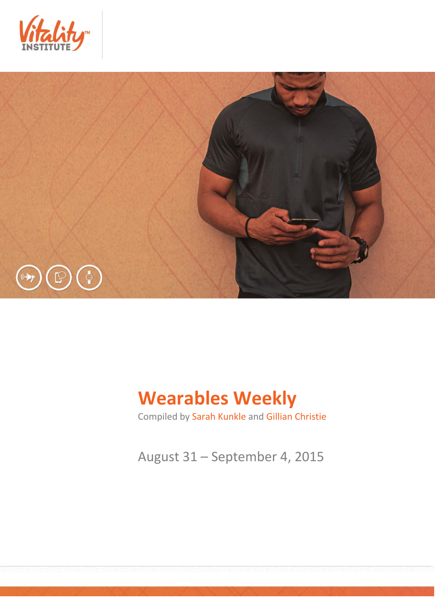



# **Wearables Weekly**

Compiled by Sarah Kunkle and Gillian Christie

August 31 – September 4, 2015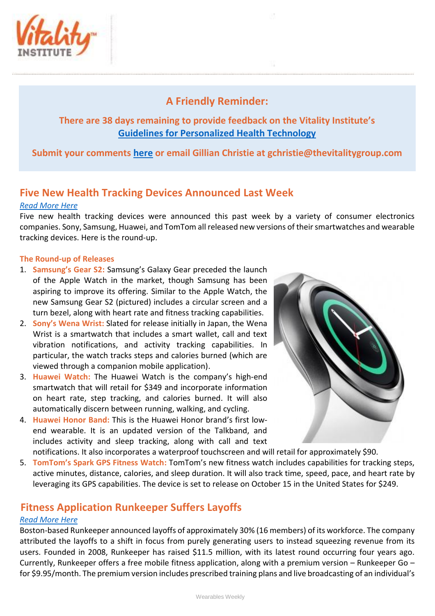

## **A Friendly Reminder:**

### **There are 38 days remaining to provide feedback on the Vitality Institute's [Guidelines for Personalized Health Technology](http://thevitalityinstitute.org/site/wp-content/uploads/2015/07/Responsibility-Guidelines-for-Personalized-Health-Technology.pdf)**

**Submit your comments [here](http://thevitalityinstitute.org/projects/personalized-health-technology/public-consultation/) or email Gillian Christie at [gchristie@thevitalitygroup.com](mailto:gchristie@thevitalitygroup.com?subject=Wearables%20Weekly%20Feedback)**

## **Five New Health Tracking Devices Announced Last Week**

#### *[Read More Here](http://mobihealthnews.com/46511/seven-new-wearables-health-tracking-devices-from-sony-samsung-and-more/)*

Five new health tracking devices were announced this past week by a variety of consumer electronics companies. Sony, Samsung, Huawei, and TomTom all released new versions of their smartwatches and wearable tracking devices. Here is the round-up.

#### **The Round-up of Releases**

- 1. **Samsung's Gear S2:** Samsung's Galaxy Gear preceded the launch of the Apple Watch in the market, though Samsung has been aspiring to improve its offering. Similar to the Apple Watch, the new Samsung Gear S2 (pictured) includes a circular screen and a turn bezel, along with heart rate and fitness tracking capabilities.
- 2. **Sony's Wena Wrist:** Slated for release initially in Japan, the Wena Wrist is a smartwatch that includes a smart wallet, call and text vibration notifications, and activity tracking capabilities. In particular, the watch tracks steps and calories burned (which are viewed through a companion mobile application).
- 3. **Huawei Watch:** The Huawei Watch is the company's high-end smartwatch that will retail for \$349 and incorporate information on heart rate, step tracking, and calories burned. It will also automatically discern between running, walking, and cycling.
- 4. **Huawei Honor Band:** This is the Huawei Honor brand's first lowend wearable. It is an updated version of the Talkband, and includes activity and sleep tracking, along with call and text



notifications. It also incorporates a waterproof touchscreen and will retail for approximately \$90.

5. **TomTom's Spark GPS Fitness Watch:** TomTom's new fitness watch includes capabilities for tracking steps, active minutes, distance, calories, and sleep duration. It will also track time, speed, pace, and heart rate by leveraging its GPS capabilities. The device is set to release on October 15 in the United States for \$249.

## **Fitness Application Runkeeper Suffers Layoffs**

#### *[Read More Here](http://www.betaboston.com/news/2015/08/25/runkeeper-cuts-about-30-percent-of-staff-shifting-focus-from-user-growth-to-revenue/)*

Boston-based Runkeeper announced layoffs of approximately 30% (16 members) of its workforce. The company attributed the layoffs to a shift in focus from purely generating users to instead squeezing revenue from its users. Founded in 2008, Runkeeper has raised \$11.5 million, with its latest round occurring four years ago. Currently, Runkeeper offers a free mobile fitness application, along with a premium version – Runkeeper Go – for \$9.95/month. The premium version includes prescribed training plans and live broadcasting of an individual's